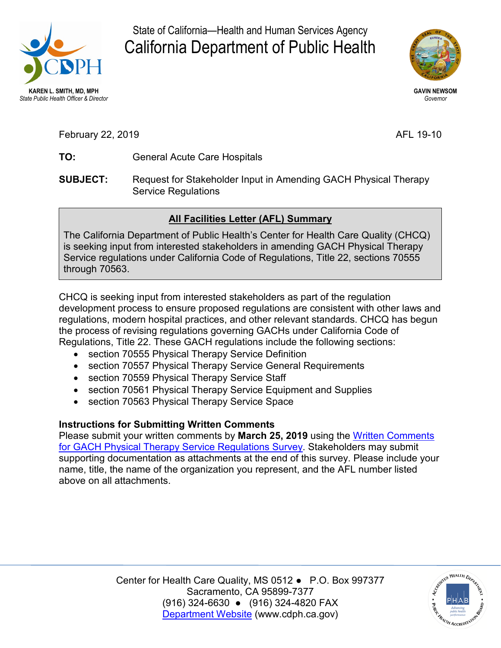

State of California—Health and Human Services Agency California Department of Public Health



**GAVIN NEWSOM**  *Governor* 

February 22, 2019 **AFL 19-10** 

- **TO:** General Acute Care Hospitals
- **SUBJECT:** Request for Stakeholder Input in Amending GACH Physical Therapy Service Regulations

## **All Facilities Letter (AFL) Summary**

The California Department of Public Health's Center for Health Care Quality (CHCQ) is seeking input from interested stakeholders in amending GACH Physical Therapy Service regulations under California Code of Regulations, Title 22, sections 70555 through 70563.

 CHCQ is seeking input from interested stakeholders as part of the regulation Regulations, Title 22. These GACH regulations include the following sections: development process to ensure proposed regulations are consistent with other laws and regulations, modern hospital practices, and other relevant standards. CHCQ has begun the process of revising regulations governing GACHs under California Code of

- section 70555 Physical Therapy Service Definition
- section 70557 Physical Therapy Service General Requirements
- section 70559 Physical Therapy Service Staff
- section 70561 Physical Therapy Service Equipment and Supplies
- section 70563 Physical Therapy Service Space

## **Instructions for Submitting Written Comments**

 Please submit your written comments by **March 25, 2019** using the [Written Comments](https://www.surveymonkey.com/r/JWDKCJR)  [for GACH Physical Therapy Service Regulations Survey.](https://www.surveymonkey.com/r/JWDKCJR) Stakeholders may submit supporting documentation as attachments at the end of this survey. Please include your name, title, the name of the organization you represent, and the AFL number listed above on all attachments.